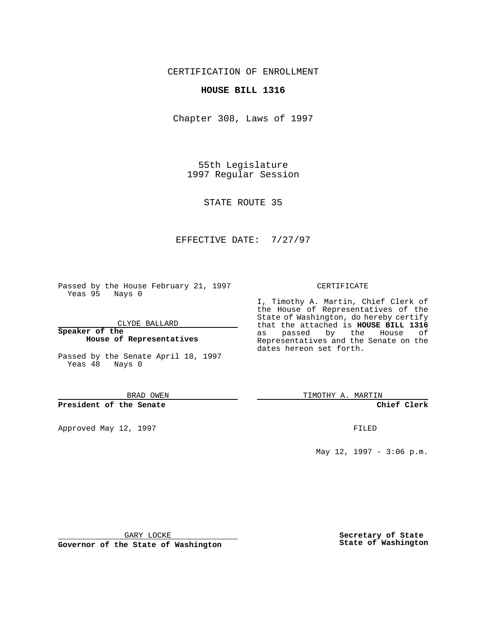## CERTIFICATION OF ENROLLMENT

#### **HOUSE BILL 1316**

Chapter 308, Laws of 1997

55th Legislature 1997 Regular Session

STATE ROUTE 35

## EFFECTIVE DATE: 7/27/97

Passed by the House February 21, 1997 Yeas 95 Nays 0

CLYDE BALLARD

**Speaker of the House of Representatives**

Passed by the Senate April 18, 1997 Yeas 48 Nays 0

BRAD OWEN

**President of the Senate**

Approved May 12, 1997 **FILED** 

#### CERTIFICATE

I, Timothy A. Martin, Chief Clerk of the House of Representatives of the State of Washington, do hereby certify that the attached is **HOUSE BILL 1316** as passed by the House of Representatives and the Senate on the dates hereon set forth.

TIMOTHY A. MARTIN

**Chief Clerk**

May 12, 1997 - 3:06 p.m.

GARY LOCKE

**Governor of the State of Washington**

**Secretary of State State of Washington**